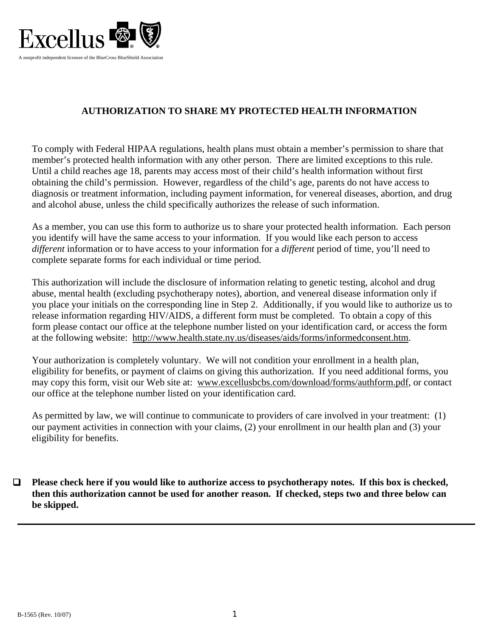

## **AUTHORIZATION TO SHARE MY PROTECTED HEALTH INFORMATION**

To comply with Federal HIPAA regulations, health plans must obtain a member's permission to share that member's protected health information with any other person. There are limited exceptions to this rule. Until a child reaches age 18, parents may access most of their child's health information without first obtaining the child's permission. However, regardless of the child's age, parents do not have access to diagnosis or treatment information, including payment information, for venereal diseases, abortion, and drug and alcohol abuse, unless the child specifically authorizes the release of such information.

As a member, you can use this form to authorize us to share your protected health information. Each person you identify will have the same access to your information. If you would like each person to access *different* information or to have access to your information for a *different* period of time, you'll need to complete separate forms for each individual or time period.

This authorization will include the disclosure of information relating to genetic testing, alcohol and drug abuse, mental health (excluding psychotherapy notes), abortion, and venereal disease information only if you place your initials on the corresponding line in Step 2. Additionally, if you would like to authorize us to release information regarding HIV/AIDS, a different form must be completed. To obtain a copy of this form please contact our office at the telephone number listed on your identification card, or access the form at the following website: http://www.health.state.ny.us/diseases/aids/forms/informedconsent.htm.

Your authorization is completely voluntary. We will not condition your enrollment in a health plan, eligibility for benefits, or payment of claims on giving this authorization. If you need additional forms, you may copy this form, visit our Web site at: www.excellusbcbs.com/download/forms/authform.pdf, or contact our office at the telephone number listed on your identification card.

As permitted by law, we will continue to communicate to providers of care involved in your treatment: (1) our payment activities in connection with your claims, (2) your enrollment in our health plan and (3) your eligibility for benefits.

 **Please check here if you would like to authorize access to psychotherapy notes. If this box is checked, then this authorization cannot be used for another reason. If checked, steps two and three below can be skipped.**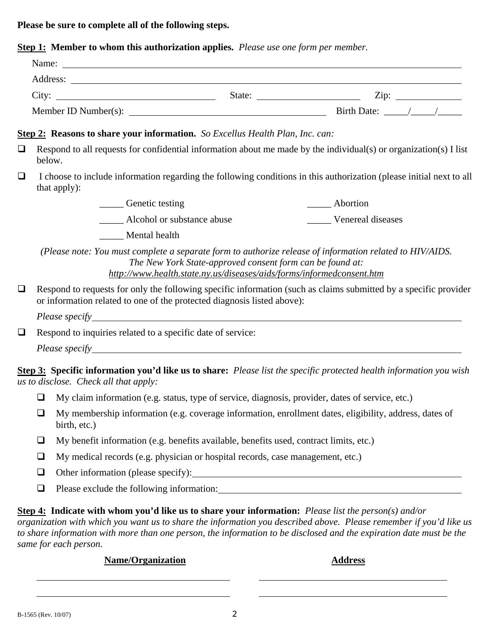**Please be sure to complete all of the following steps.**

**Step 1: Member to whom this authorization applies.** *Please use one form per member.*

|        |        |                                                                                                                                                                                             |                                                           | Name:                                                                                                                                                                             |  |
|--------|--------|---------------------------------------------------------------------------------------------------------------------------------------------------------------------------------------------|-----------------------------------------------------------|-----------------------------------------------------------------------------------------------------------------------------------------------------------------------------------|--|
|        |        |                                                                                                                                                                                             |                                                           |                                                                                                                                                                                   |  |
|        |        |                                                                                                                                                                                             |                                                           |                                                                                                                                                                                   |  |
|        |        |                                                                                                                                                                                             |                                                           |                                                                                                                                                                                   |  |
|        |        | <b>Step 2: Reasons to share your information.</b> So Excellus Health Plan, Inc. can:                                                                                                        |                                                           |                                                                                                                                                                                   |  |
| $\Box$ | below. | Respond to all requests for confidential information about me made by the individual(s) or organization(s) I list                                                                           |                                                           |                                                                                                                                                                                   |  |
| $\Box$ |        | that apply):                                                                                                                                                                                |                                                           | I choose to include information regarding the following conditions in this authorization (please initial next to all                                                              |  |
|        |        | _______ Genetic testing                                                                                                                                                                     |                                                           | ______ Abortion                                                                                                                                                                   |  |
|        |        | ________ Alcohol or substance abuse                                                                                                                                                         |                                                           | Venereal diseases                                                                                                                                                                 |  |
|        |        | Mental health                                                                                                                                                                               |                                                           |                                                                                                                                                                                   |  |
|        |        |                                                                                                                                                                                             | The New York State-approved consent form can be found at: | (Please note: You must complete a separate form to authorize release of information related to HIV/AIDS.<br>http://www.health.state.ny.us/diseases/aids/forms/informedconsent.htm |  |
| $\Box$ |        | Respond to requests for only the following specific information (such as claims submitted by a specific provider<br>or information related to one of the protected diagnosis listed above): |                                                           |                                                                                                                                                                                   |  |
|        |        |                                                                                                                                                                                             |                                                           |                                                                                                                                                                                   |  |
| $\Box$ |        | Respond to inquiries related to a specific date of service:                                                                                                                                 |                                                           |                                                                                                                                                                                   |  |
|        |        |                                                                                                                                                                                             |                                                           |                                                                                                                                                                                   |  |
|        |        | us to disclose. Check all that apply:                                                                                                                                                       |                                                           | <b>Step 3: Specific information you'd like us to share:</b> Please list the specific protected health information you wish                                                        |  |
|        | ❏      | My claim information (e.g. status, type of service, diagnosis, provider, dates of service, etc.)                                                                                            |                                                           |                                                                                                                                                                                   |  |
|        |        | birth, etc.)                                                                                                                                                                                |                                                           | $\Box$ My membership information (e.g. coverage information, enrollment dates, eligibility, address, dates of                                                                     |  |
|        | $\Box$ | My benefit information (e.g. benefits available, benefits used, contract limits, etc.)                                                                                                      |                                                           |                                                                                                                                                                                   |  |
|        |        | My medical records (e.g. physician or hospital records, case management, etc.)                                                                                                              |                                                           |                                                                                                                                                                                   |  |
|        | $\Box$ |                                                                                                                                                                                             |                                                           |                                                                                                                                                                                   |  |
|        | $\Box$ |                                                                                                                                                                                             |                                                           |                                                                                                                                                                                   |  |

*to share information with more than one person, the information to be disclosed and the expiration date must be the same for each person.*

## **Name/Organization** Address

 $\overline{a}$ 

 $\overline{a}$